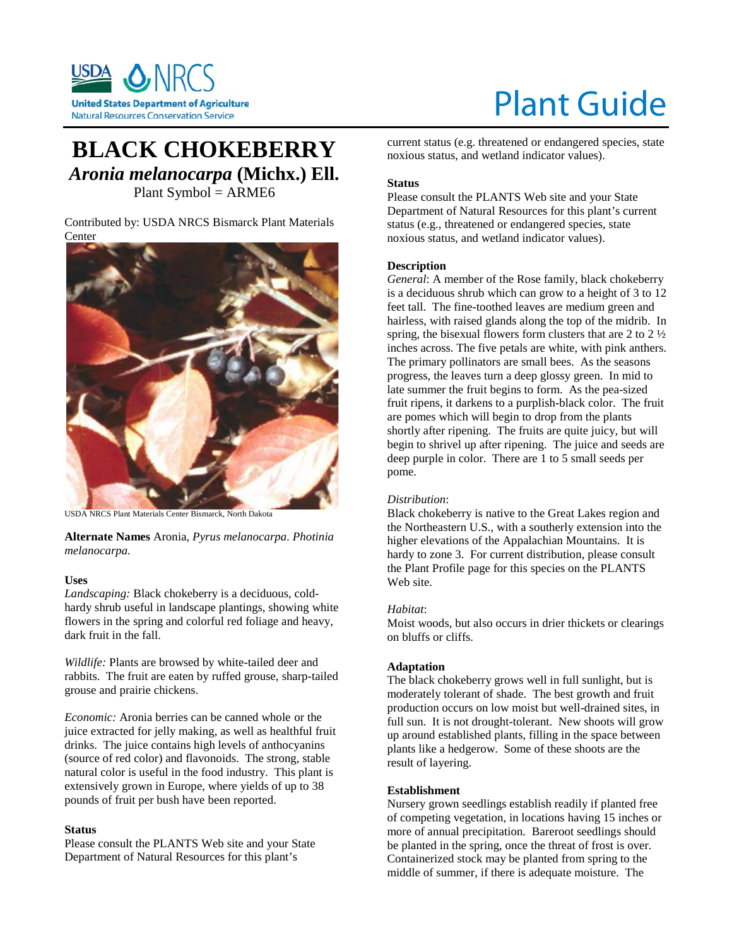

# Plant Guide

# **BLACK CHOKEBERRY** *Aronia melanocarpa* **(Michx.) Ell.** Plant Symbol = ARME6

Contributed by: USDA NRCS Bismarck Plant Materials Center



USDA NRCS Plant Materials Center Bismarck, North Dakota

**Alternate Names** Aronia, *Pyrus melanocarpa. Photinia melanocarpa.*

#### **Uses**

*Landscaping:* Black chokeberry is a deciduous, coldhardy shrub useful in landscape plantings, showing white flowers in the spring and colorful red foliage and heavy, dark fruit in the fall.

*Wildlife:* Plants are browsed by white-tailed deer and rabbits. The fruit are eaten by ruffed grouse, sharp-tailed grouse and prairie chickens.

*Economic:* Aronia berries can be canned whole or the juice extracted for jelly making, as well as healthful fruit drinks. The juice contains high levels of anthocyanins (source of red color) and flavonoids. The strong, stable natural color is useful in the food industry. This plant is extensively grown in Europe, where yields of up to 38 pounds of fruit per bush have been reported.

# **Status**

Please consult the PLANTS Web site and your State Department of Natural Resources for this plant's

current status (e.g. threatened or endangered species, state noxious status, and wetland indicator values).

# **Status**

Please consult the PLANTS Web site and your State Department of Natural Resources for this plant's current status (e.g., threatened or endangered species, state noxious status, and wetland indicator values).

# **Description**

*General*: A member of the Rose family, black chokeberry is a deciduous shrub which can grow to a height of 3 to 12 feet tall. The fine-toothed leaves are medium green and hairless, with raised glands along the top of the midrib. In spring, the bisexual flowers form clusters that are  $2$  to  $2\frac{1}{2}$ inches across. The five petals are white, with pink anthers. The primary pollinators are small bees. As the seasons progress, the leaves turn a deep glossy green. In mid to late summer the fruit begins to form. As the pea-sized fruit ripens, it darkens to a purplish-black color. The fruit are pomes which will begin to drop from the plants shortly after ripening. The fruits are quite juicy, but will begin to shrivel up after ripening. The juice and seeds are deep purple in color. There are 1 to 5 small seeds per pome.

# *Distribution*:

Black chokeberry is native to the Great Lakes region and the Northeastern U.S., with a southerly extension into the higher elevations of the Appalachian Mountains. It is hardy to zone 3. For current distribution, please consult the Plant Profile page for this species on the PLANTS Web site.

#### *Habitat*:

Moist woods, but also occurs in drier thickets or clearings on bluffs or cliffs.

#### **Adaptation**

The black chokeberry grows well in full sunlight, but is moderately tolerant of shade. The best growth and fruit production occurs on low moist but well-drained sites, in full sun. It is not drought-tolerant. New shoots will grow up around established plants, filling in the space between plants like a hedgerow. Some of these shoots are the result of layering.

#### **Establishment**

Nursery grown seedlings establish readily if planted free of competing vegetation, in locations having 15 inches or more of annual precipitation. Bareroot seedlings should be planted in the spring, once the threat of frost is over. Containerized stock may be planted from spring to the middle of summer, if there is adequate moisture. The